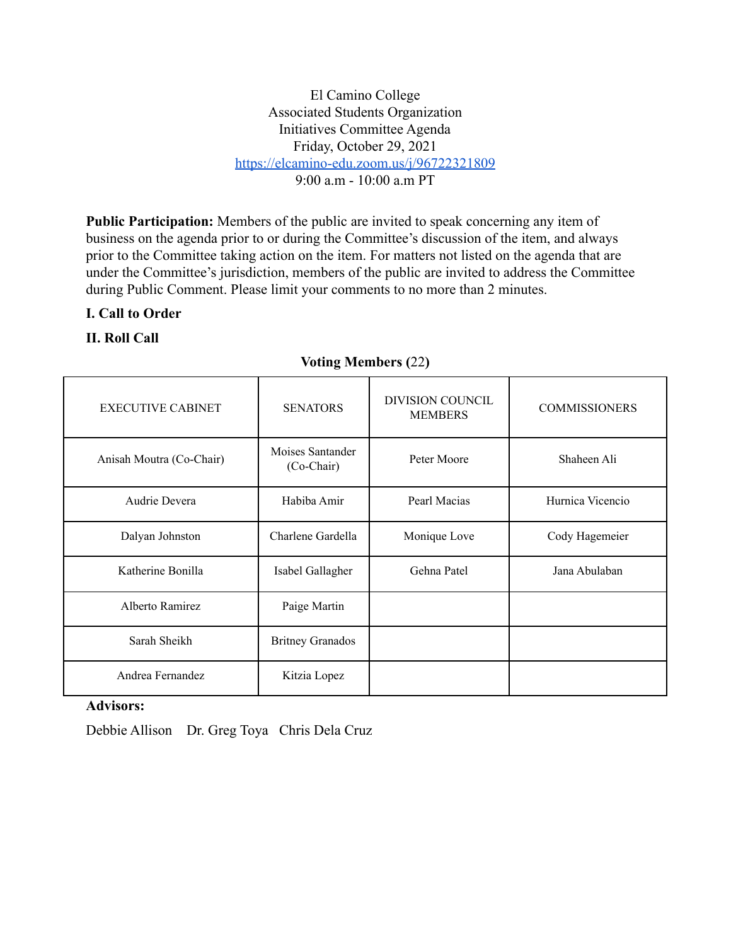El Camino College Associated Students Organization Initiatives Committee Agenda Friday, October 29, 2021 <https://elcamino-edu.zoom.us/j/96722321809>  $9.00 a m - 10.00 a m PT$ 

**Public Participation:** Members of the public are invited to speak concerning any item of business on the agenda prior to or during the Committee's discussion of the item, and always prior to the Committee taking action on the item. For matters not listed on the agenda that are under the Committee's jurisdiction, members of the public are invited to address the Committee during Public Comment. Please limit your comments to no more than 2 minutes.

### **I. Call to Order**

## **II. Roll Call**

### **Voting Members (**22**)**

| <b>EXECUTIVE CABINET</b> | <b>SENATORS</b>                | <b>DIVISION COUNCIL</b><br><b>MEMBERS</b> | <b>COMMISSIONERS</b> |
|--------------------------|--------------------------------|-------------------------------------------|----------------------|
| Anisah Moutra (Co-Chair) | Moises Santander<br>(Co-Chair) | Peter Moore                               | Shaheen Ali          |
| Audrie Devera            | Habiba Amir                    | Pearl Macias                              | Hurnica Vicencio     |
| Dalyan Johnston          | Charlene Gardella              | Monique Love                              | Cody Hagemeier       |
| Katherine Bonilla        | Isabel Gallagher               | Gehna Patel                               | Jana Abulaban        |
| Alberto Ramirez          | Paige Martin                   |                                           |                      |
| Sarah Sheikh             | <b>Britney Granados</b>        |                                           |                      |
| Andrea Fernandez         | Kitzia Lopez                   |                                           |                      |

### **Advisors:**

Debbie Allison Dr. Greg Toya Chris Dela Cruz